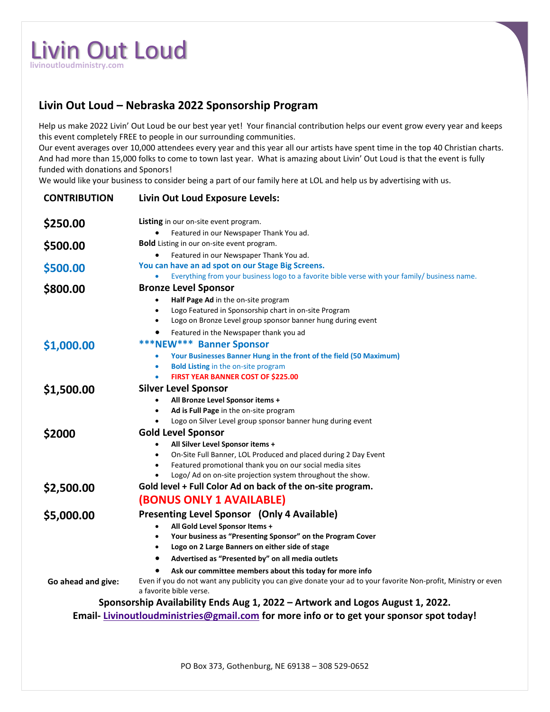## Livin Out Loud **livinoutloudministry.com**

## **Livin Out Loud – Nebraska 2022 Sponsorship Program**

Help us make 2022 Livin' Out Loud be our best year yet! Your financial contribution helps our event grow every year and keeps this event completely FREE to people in our surrounding communities.

Our event averages over 10,000 attendees every year and this year all our artists have spent time in the top 40 Christian charts. And had more than 15,000 folks to come to town last year. What is amazing about Livin' Out Loud is that the event is fully funded with donations and Sponors!

We would like your business to consider being a part of our family here at LOL and help us by advertising with us.

| <b>CONTRIBUTION</b>                                                                     | Livin Out Loud Exposure Levels:                                                                                 |
|-----------------------------------------------------------------------------------------|-----------------------------------------------------------------------------------------------------------------|
| \$250.00                                                                                | Listing in our on-site event program.                                                                           |
|                                                                                         | Featured in our Newspaper Thank You ad.                                                                         |
| \$500.00                                                                                | <b>Bold</b> Listing in our on-site event program.                                                               |
|                                                                                         | Featured in our Newspaper Thank You ad.<br>You can have an ad spot on our Stage Big Screens.                    |
| \$500.00                                                                                | Everything from your business logo to a favorite bible verse with your family/ business name.                   |
| \$800.00                                                                                | <b>Bronze Level Sponsor</b>                                                                                     |
|                                                                                         | Half Page Ad in the on-site program<br>$\bullet$                                                                |
|                                                                                         | Logo Featured in Sponsorship chart in on-site Program<br>$\bullet$                                              |
|                                                                                         | Logo on Bronze Level group sponsor banner hung during event<br>$\bullet$                                        |
|                                                                                         | Featured in the Newspaper thank you ad                                                                          |
|                                                                                         | <b>***NEW*** Banner Sponsor</b>                                                                                 |
| \$1,000.00                                                                              | Your Businesses Banner Hung in the front of the field (50 Maximum)<br>$\bullet$                                 |
|                                                                                         | <b>Bold Listing in the on-site program</b>                                                                      |
|                                                                                         | FIRST YEAR BANNER COST OF \$225.00                                                                              |
| \$1,500.00                                                                              | <b>Silver Level Sponsor</b>                                                                                     |
|                                                                                         | All Bronze Level Sponsor items +                                                                                |
|                                                                                         | Ad is Full Page in the on-site program<br>$\bullet$                                                             |
|                                                                                         | Logo on Silver Level group sponsor banner hung during event                                                     |
| \$2000                                                                                  | <b>Gold Level Sponsor</b>                                                                                       |
|                                                                                         | All Silver Level Sponsor items +<br>$\bullet$                                                                   |
|                                                                                         | On-Site Full Banner, LOL Produced and placed during 2 Day Event<br>$\bullet$                                    |
|                                                                                         | Featured promotional thank you on our social media sites<br>$\bullet$                                           |
|                                                                                         | Logo/ Ad on on-site projection system throughout the show.                                                      |
| \$2,500.00                                                                              | Gold level + Full Color Ad on back of the on-site program.                                                      |
|                                                                                         | <b>(BONUS ONLY 1 AVAILABLE)</b>                                                                                 |
| \$5,000.00                                                                              | Presenting Level Sponsor (Only 4 Available)                                                                     |
|                                                                                         | All Gold Level Sponsor Items +<br>$\bullet$                                                                     |
|                                                                                         | Your business as "Presenting Sponsor" on the Program Cover<br>$\bullet$                                         |
|                                                                                         | Logo on 2 Large Banners on either side of stage<br>$\bullet$                                                    |
|                                                                                         | Advertised as "Presented by" on all media outlets<br>$\bullet$                                                  |
|                                                                                         | Ask our committee members about this today for more info                                                        |
| Go ahead and give:                                                                      | Even if you do not want any publicity you can give donate your ad to your favorite Non-profit, Ministry or even |
|                                                                                         | a favorite bible verse.                                                                                         |
|                                                                                         | Sponsorship Availability Ends Aug 1, 2022 - Artwork and Logos August 1, 2022.                                   |
| Email-Livinoutloudministries@gmail.com for more info or to get your sponsor spot today! |                                                                                                                 |
|                                                                                         |                                                                                                                 |
|                                                                                         |                                                                                                                 |